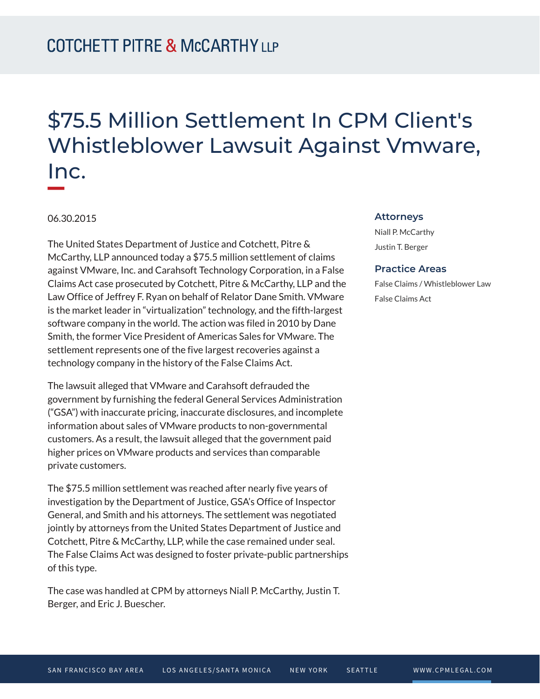## \$75.5 Million Settlement In CPM Client's Whistleblower Lawsuit Against Vmware, Inc.

06.30.2015

The United States Department of Justice and Cotchett, Pitre & McCarthy, LLP announced today a \$75.5 million settlement of claims against VMware, Inc. and Carahsoft Technology Corporation, in a False Claims Act case prosecuted by Cotchett, Pitre & McCarthy, LLP and the Law Office of Jeffrey F. Ryan on behalf of Relator Dane Smith. VMware is the market leader in "virtualization" technology, and the fifth-largest software company in the world. The action was filed in 2010 by Dane Smith, the former Vice President of Americas Sales for VMware. The settlement represents one of the five largest recoveries against a technology company in the history of the False Claims Act.

The lawsuit alleged that VMware and Carahsoft defrauded the government by furnishing the federal General Services Administration ("GSA") with inaccurate pricing, inaccurate disclosures, and incomplete information about sales of VMware products to non-governmental customers. As a result, the lawsuit alleged that the government paid higher prices on VMware products and services than comparable private customers.

The \$75.5 million settlement was reached after nearly five years of investigation by the Department of Justice, GSA's Office of Inspector General, and Smith and his attorneys. The settlement was negotiated jointly by attorneys from the United States Department of Justice and Cotchett, Pitre & McCarthy, LLP, while the case remained under seal. The False Claims Act was designed to foster private-public partnerships of this type.

The case was handled at CPM by attorneys Niall P. McCarthy, Justin T. Berger, and Eric J. Buescher.

## **Attorneys**

Niall P. McCarthy Justin T. Berger

## **Practice Areas**

False Claims / Whistleblower Law False Claims Act